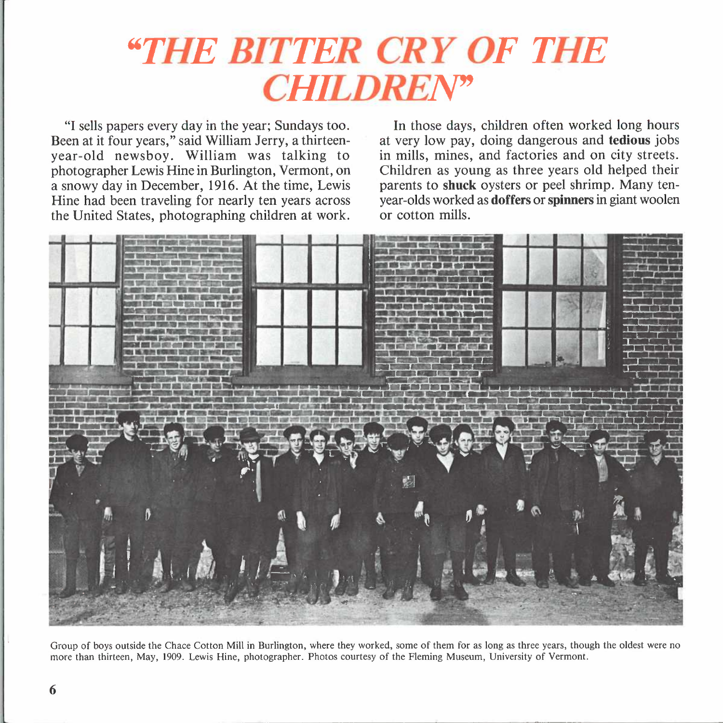## *"THE BITTER CRY OF THE CHILDREN*

"I sells papers every day in the year; Sundays too. Been at it four years," said William Jerry, a thirteenyear-old newsboy. William was talking to photographer Lewis Hine in Burlington, Vermont, on a snowy day in December, 1916. At the time, Lewis Hine had been traveling for nearly ten years across the United States, photographing children at work.

In those days, children often worked long hours at very low pay, doing dangerous and **tedious** jobs in mills, mines, and factories and on city streets. Children as young as three years old helped their parents to **shuck** oysters or peel shrimp. Many tenyear-olds worked as **doffers or spinners** in giant woolen or cotton mills.



Group of boys outside the Chace Cotton Mill in Burlington, where they worked, some of them for as long as three years, though the oldest were no more than thirteen, May, 1909. Lewis Hine, photographer. Photos courtesy of the Fleming Museum, University of Vermont.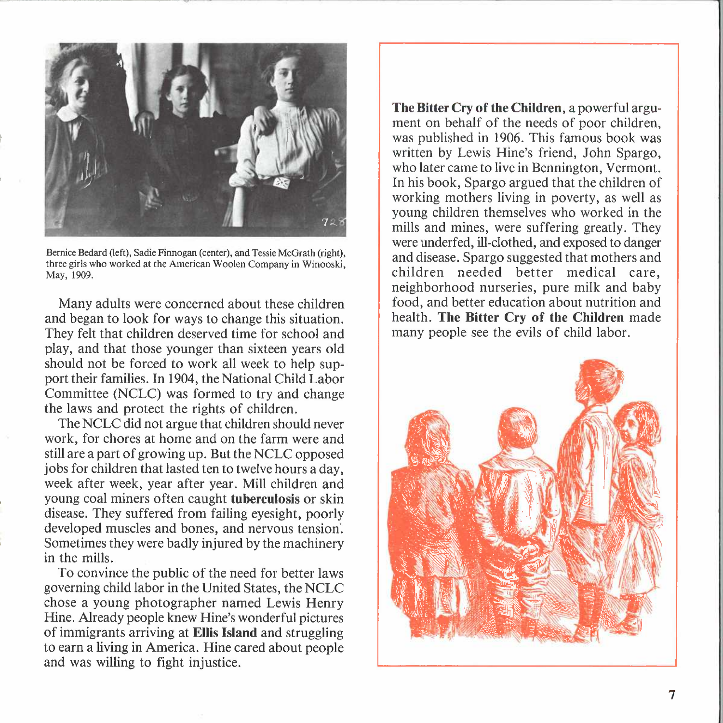

Bernice Bedard (left), Sadie Finnogan (center), and Tessie McGrath (right), three girls who worked at the American Woolen Company in Winooski, May, 1909.

Many adults were concerned about these children and began to look for ways to change this situation. They felt that children deserved time for school and play, and that those younger than sixteen years old should not be forced to work all week to help support their families. In 1904, the National Child Labor Committee (NCLC) was formed to try and change the laws and protect the rights of children.

The NCLC did not argue that children should never work, for chores at home and on the farm were and still are a part of growing up. But the NCLC opposed jobs for children that lasted ten to twelve hours a day, week after week, year after year. Mill children and young coal miners often caught **tuberculosis** or skin disease. They suffered from failing eyesight, poorly developed muscles and bones, and nervous tension. Sometimes they were badly injured by the machinery in the mills.

To convince the public of the need for better laws governing child labor in the United States, the NCLC chose a young photographer named Lewis Henry Hine. Already people knew Hine's wonderful pictures of immigrants arriving at **Ellis Island** and struggling to earn a living in America. Hine cared about people and was willing to fight injustice.

**The Bitter Cry of the Children,** a powerful argument on behalf of the needs of poor children, was published in 1906. This famous book was written by Lewis Hine's friend, John Spargo, who later came to live in Bennington, Vermont. In his book, Spargo argued that the children of working mothers living in poverty, as well as young children themselves who worked in the mills and mines, were suffering greatly. They were underfed, ill-clothed, and exposed to danger and disease. Spargo suggested that mothers and children needed better medical care, neighborhood nurseries, pure milk and baby food, and better education about nutrition and health. **The Bitter Cry of the Children** made many people see the evils of child labor.

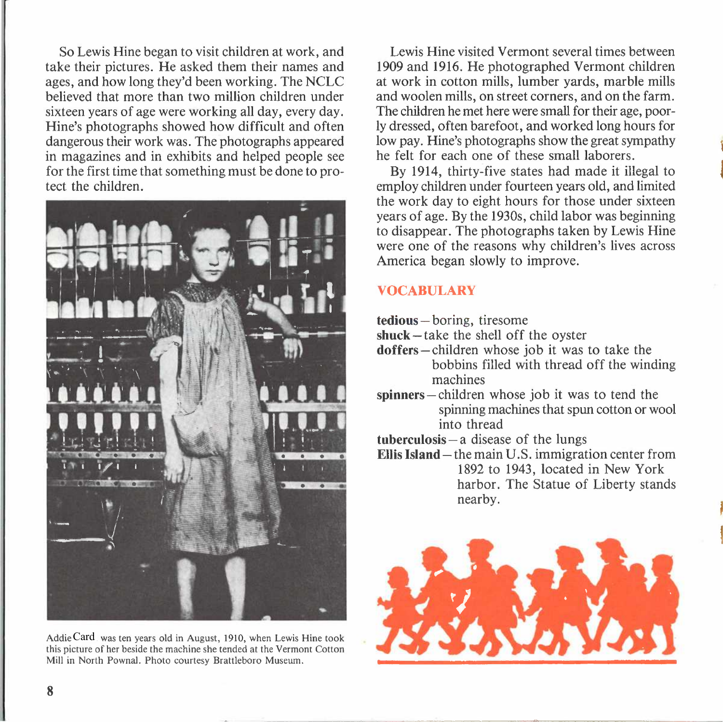So Lewis Hine began to visit children at work, and take their pictures. He asked them their names and ages, and how long they'd been working. The NCLC believed that more than two million children under sixteen years of age were working all day, every day. Hine's photographs showed how difficult and often dangerous their work was. The photographs appeared in magazines and in exhibits and helped people see for the first time that something must be done to protect the children.



Addie Card was ten years old in August, 1910, when Lewis Hine took this picture of her beside the machine she tended at the Vermont Cotton Mill in North Pownal. Photo courtesy Brattleboro Museum.

Lewis Hine visited Vermont several times between 1909 and 1916. He photographed Vermont children at work in cotton mills, lumber yards, marble mills and woolen mills, on street corners, and on the farm. The children he met here were small for their age, poorly dressed, often barefoot, and worked long hours for low pay. Hine's photographs show the great sympathy he felt for each one of these small laborers.

By 1914, thirty-five states had made it illegal to employ children under fourteen years old, and limited the work day to eight hours for those under sixteen years of age. By the 1930s, child labor was beginning to disappear. The photographs taken by Lewis Hine were one of the reasons why children's lives across America began slowly to improve.

## **VOCABULARY**

- **tedious-** boring, tiresome
- **shuck** take the shell off the oyster
- doffers-children whose job it was to take the bobbins filled with thread off the winding machines
- spinners-children whose job it was to tend the spinning machines that spun cotton or wool into thread
- **tuberculosis-** a disease of the lungs
- **Ellis Island-** the main U.S. immigration center from 1892 to 1943, located in New York harbor. The Statue of Liberty stands nearby.

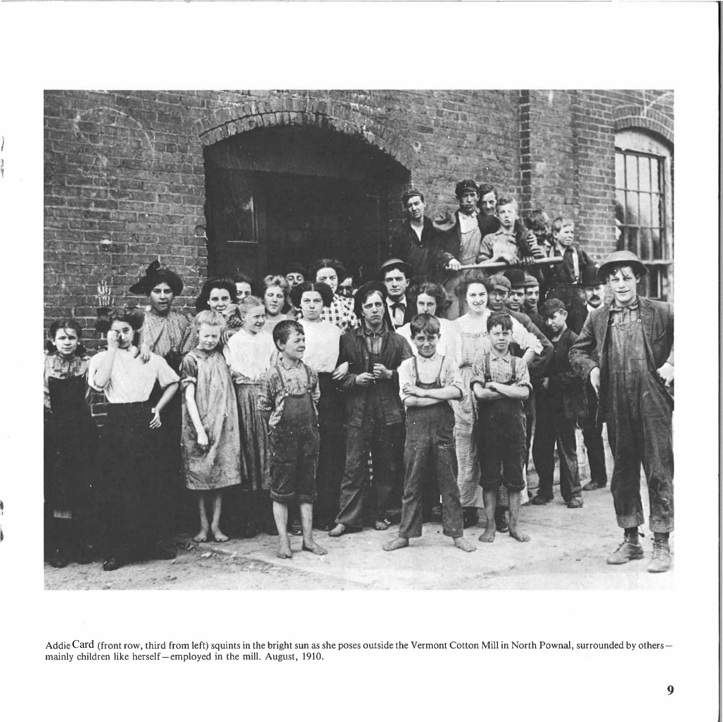

Addie Card (front row, third from left) squints in the bright sun as she poses outside the Vermont Cotton Mill in North Pownal, surrounded by others-Addie Card (front row, third from left) squints in the bright sun as sl<br>mainly children like herself—employed in the mill. August, 1910.